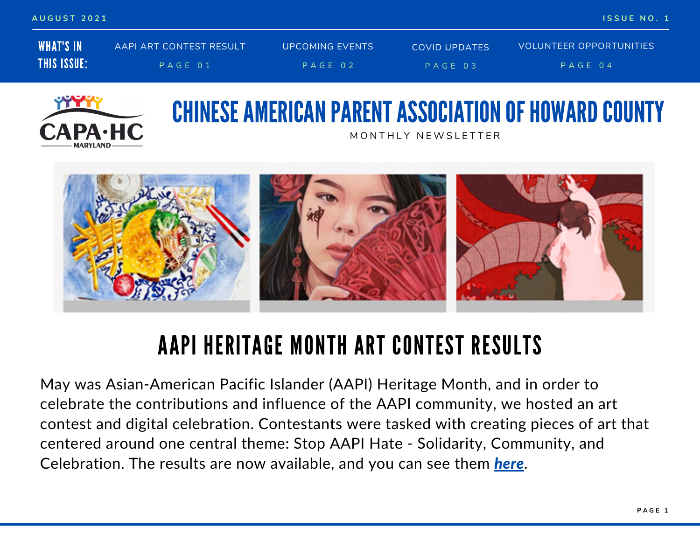| AUGUST 2021        |                         |                        |               | ISSUE NO. 1             |  |
|--------------------|-------------------------|------------------------|---------------|-------------------------|--|
| <b>WHAT'S IN</b>   | AAPI ART CONTEST RESULT | <b>UPCOMING EVENTS</b> | COVID UPDATES | VOLUNTEER OPPORTUNITIES |  |
| <b>THIS ISSUE:</b> | PAGE 01                 | PAGE 02                | $PAGE$ 03     | PAGE 04                 |  |



### CHINESE AMERICAN PARENT ASSOCIATION OF HOWARD COUNTY MONTHIY NEWSLETTER



## AAPI HERITAGE MONTH ART CONTEST RESULTS

May was Asian-American Pacific Islander (AAPI) Heritage Month, and in order to celebrate the contributions and influence of the AAPI community, we hosted an art contest and digital celebration. Contestants were tasked with creating pieces of art that centered around one central theme: Stop AAPI Hate - Solidarity, Community, and Celebration. The results are now available, and you can see them *[here](https://www.capa-hc.org/aapi-contest-winners-2021)*.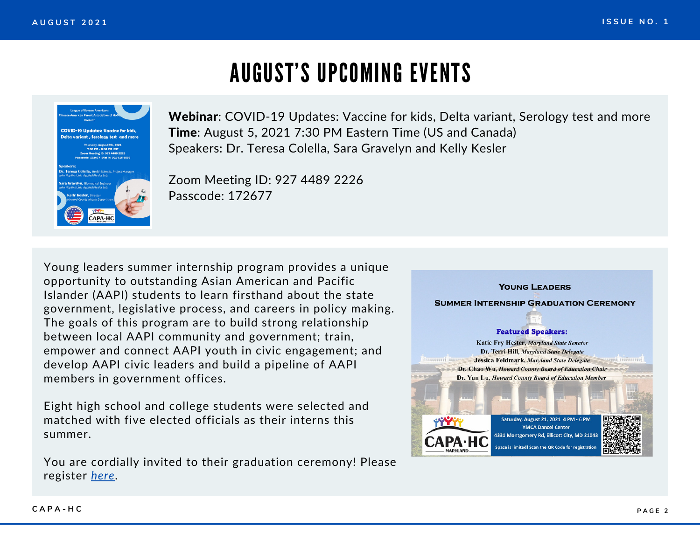### AUGUST'S UPCOMING EVENTS



Webinar: COVID-19 Updates: Vaccine for kids, Delta variant, Serology test and more Time: August 5, 2021 7:30 PM Eastern Time (US and Canada) Speakers: Dr. Teresa Colella, Sara Gravelyn and Kelly Kesler

Zoom [Meeting](https://us02web.zoom.us/j/82382249847?pwd=djgrVVpPRjhqWkQrWHY0RHVIUmg4dz09) ID: 927 4489 2226 Passcode: 172677

Young leaders summer internship program provides a unique opportunity to outstanding Asian American and Pacific Islander (AAPI) students to learn firsthand about the state government, legislative process, and careers in policy making. The goals of this program are to build strong relationship between local AAPI community and government; train, empower and connect AAPI youth in civic engagement; and develop AAPI civic leaders and build a pipeline of AAPI members in government offices.

Eight high school and college students were selected and matched with five elected officials as their interns this summer.

You are cordially invited to their graduation ceremony! Please register *[here](https://docs.google.com/forms/d/e/1FAIpQLSfxF7vIERuRu_onpXTTHjidu4N5IVxu_YhMg4cNhdQHNXS5Nw/viewform)*.

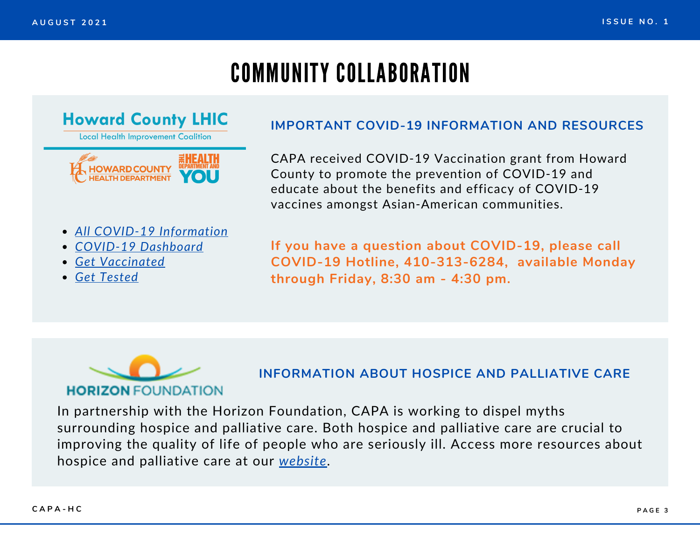# COMMUNITY COLLABORATION

### **Howard County LHIC**

**Local Health Improvement Coalition** 

### **HOWARD COUNTY IEALTH DEPARTMENT**

#### *All COVID-19 [Information](https://www.howardcountymd.gov/health/covid-19)*

- *COVID-19 [Dashboard](https://www.howardcountymd.gov/health/covid-19#cases-dashboard)*
- *Get [Vaccinated](https://www.howardcountymd.gov/health/covid-19-vaccine)*
- *Get [Tested](https://www.howardcountymd.gov/covid-19-testing)*

#### **IMPORTANT COVID-19 INFORMATION AND RESOURCES**

CAPA received COVID-19 Vaccination grant from Howard County to promote the prevention of COVID-19 and educate about the benefits and efficacy of COVID-19 vaccines amongst Asian-American communities.

**If you have a question about COVID-19, please call COVID-19 Hotline, 410-313-6284, available Monday through Friday, 8:30 am - 4:30 pm.**



#### **INFORMATION ABOUT HOSPICE AND PALLIATIVE CARE**

In partnership with the Horizon Foundation, CAPA is working to dispel myths surrounding hospice and palliative care. Both hospice and palliative care are crucial to improving the quality of life of people who are seriously ill. Access more resources about hospice and palliative care at our *[website](https://www.capa-hc.org/collaboration)*.